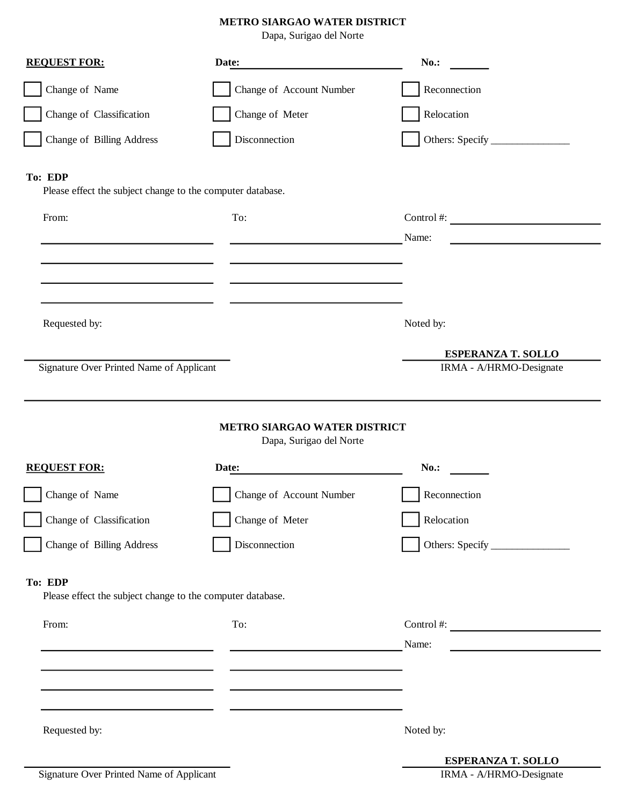## **METRO SIARGAO WATER DISTRICT**

Dapa, Surigao del Norte

| <b>REQUEST FOR:</b>                                                                                       | Date:                    | $No.$ :                           |
|-----------------------------------------------------------------------------------------------------------|--------------------------|-----------------------------------|
| Change of Name                                                                                            | Change of Account Number | Reconnection                      |
| Change of Classification                                                                                  | Change of Meter          | Relocation                        |
| Change of Billing Address                                                                                 | Disconnection            |                                   |
| To: EDP<br>Please effect the subject change to the computer database.                                     |                          |                                   |
| From:                                                                                                     | To:                      | Control #: $\qquad \qquad$        |
|                                                                                                           |                          | Name:                             |
|                                                                                                           |                          |                                   |
|                                                                                                           |                          |                                   |
| Requested by:                                                                                             |                          | Noted by:                         |
|                                                                                                           |                          | <b>ESPERANZA T. SOLLO</b>         |
| Signature Over Printed Name of Applicant                                                                  |                          | IRMA - A/HRMO-Designate           |
| <b>METRO SIARGAO WATER DISTRICT</b><br>Dapa, Surigao del Norte<br><b>REQUEST FOR:</b><br>$No.$ :<br>Date: |                          |                                   |
| Change of Name                                                                                            | Change of Account Number | Reconnection                      |
| Change of Classification                                                                                  | Change of Meter          | Relocation                        |
| Change of Billing Address                                                                                 | Disconnection            |                                   |
| To: EDP<br>Please effect the subject change to the computer database.                                     |                          |                                   |
| From:                                                                                                     | To:                      | Control #: $\qquad \qquad \qquad$ |
|                                                                                                           |                          | Name:                             |
|                                                                                                           |                          |                                   |
|                                                                                                           |                          |                                   |
| Requested by:                                                                                             |                          | Noted by:                         |
|                                                                                                           |                          |                                   |